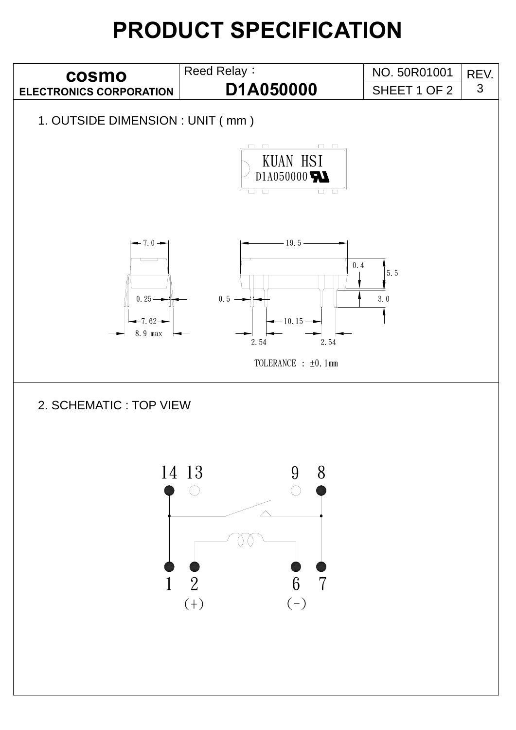## **PRODUCT SPECIFICATION**